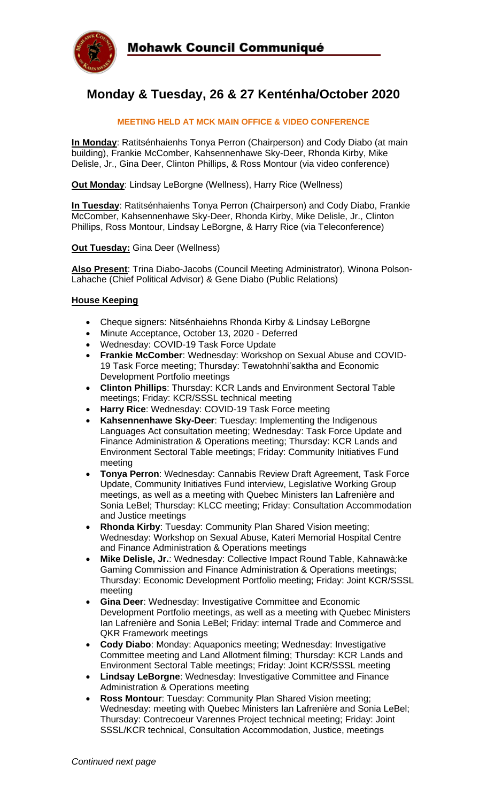

# **Monday & Tuesday, 26 & 27 Kenténha/October 2020**

#### **MEETING HELD AT MCK MAIN OFFICE & VIDEO CONFERENCE**

**In Monday**: Ratitsénhaienhs Tonya Perron (Chairperson) and Cody Diabo (at main building), Frankie McComber, Kahsennenhawe Sky-Deer, Rhonda Kirby, Mike Delisle, Jr., Gina Deer, Clinton Phillips, & Ross Montour (via video conference)

**Out Monday**: Lindsay LeBorgne (Wellness), Harry Rice (Wellness)

**In Tuesday**: Ratitsénhaienhs Tonya Perron (Chairperson) and Cody Diabo, Frankie McComber, Kahsennenhawe Sky-Deer, Rhonda Kirby, Mike Delisle, Jr., Clinton Phillips, Ross Montour, Lindsay LeBorgne, & Harry Rice (via Teleconference)

#### **Out Tuesday:** Gina Deer (Wellness)

**Also Present**: Trina Diabo-Jacobs (Council Meeting Administrator), Winona Polson-Lahache (Chief Political Advisor) & Gene Diabo (Public Relations)

#### **House Keeping**

- Cheque signers: Nitsénhaiehns Rhonda Kirby & Lindsay LeBorgne
- Minute Acceptance, October 13, 2020 Deferred
- Wednesday: COVID-19 Task Force Update
- **Frankie McComber**: Wednesday: Workshop on Sexual Abuse and COVID-19 Task Force meeting; Thursday: Tewatohnhi'saktha and Economic Development Portfolio meetings
- **Clinton Phillips**: Thursday: KCR Lands and Environment Sectoral Table meetings; Friday: KCR/SSSL technical meeting
- **Harry Rice**: Wednesday: COVID-19 Task Force meeting
- **Kahsennenhawe Sky-Deer**: Tuesday: Implementing the Indigenous Languages Act consultation meeting; Wednesday: Task Force Update and Finance Administration & Operations meeting; Thursday: KCR Lands and Environment Sectoral Table meetings; Friday: Community Initiatives Fund meeting
- **Tonya Perron**: Wednesday: Cannabis Review Draft Agreement, Task Force Update, Community Initiatives Fund interview, Legislative Working Group meetings, as well as a meeting with Quebec Ministers Ian Lafrenière and Sonia LeBel; Thursday: KLCC meeting; Friday: Consultation Accommodation and Justice meetings
- **Rhonda Kirby**: Tuesday: Community Plan Shared Vision meeting; Wednesday: Workshop on Sexual Abuse, Kateri Memorial Hospital Centre and Finance Administration & Operations meetings
- **Mike Delisle, Jr.**: Wednesday: Collective Impact Round Table, Kahnawà:ke Gaming Commission and Finance Administration & Operations meetings; Thursday: Economic Development Portfolio meeting; Friday: Joint KCR/SSSL meeting
- **Gina Deer**: Wednesday: Investigative Committee and Economic Development Portfolio meetings, as well as a meeting with Quebec Ministers Ian Lafrenière and Sonia LeBel; Friday: internal Trade and Commerce and QKR Framework meetings
- **Cody Diabo**: Monday: Aquaponics meeting; Wednesday: Investigative Committee meeting and Land Allotment filming; Thursday: KCR Lands and Environment Sectoral Table meetings; Friday: Joint KCR/SSSL meeting
- **Lindsay LeBorgne**: Wednesday: Investigative Committee and Finance Administration & Operations meeting
- **Ross Montour**: Tuesday: Community Plan Shared Vision meeting; Wednesday: meeting with Quebec Ministers Ian Lafrenière and Sonia LeBel; Thursday: Contrecoeur Varennes Project technical meeting; Friday: Joint SSSL/KCR technical, Consultation Accommodation, Justice, meetings